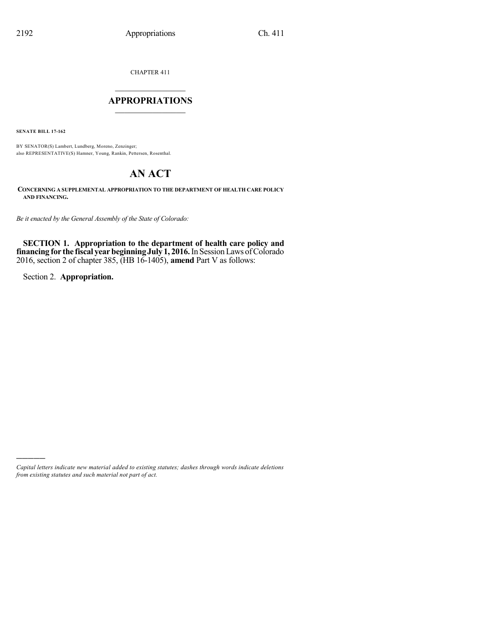CHAPTER 411

### $\overline{\phantom{a}}$  . The set of the set of the set of the set of the set of the set of the set of the set of the set of the set of the set of the set of the set of the set of the set of the set of the set of the set of the set o **APPROPRIATIONS**  $\_$   $\_$   $\_$   $\_$   $\_$   $\_$   $\_$   $\_$

**SENATE BILL 17-162**

BY SENATOR(S) Lambert, Lundberg, Moreno, Zenzinger; also REPRESENTATIVE(S) Hamner, Young, Rankin, Pettersen, Rosenthal.

# **AN ACT**

**CONCERNING A SUPPLEMENTAL APPROPRIATION TO THE DEPARTMENT OF HEALTH CARE POLICY AND FINANCING.**

*Be it enacted by the General Assembly of the State of Colorado:*

**SECTION 1. Appropriation to the department of health care policy and financing for the fiscal yearbeginningJuly 1, 2016.**In SessionLaws ofColorado 2016, section 2 of chapter 385, (HB 16-1405), **amend** Part V as follows:

Section 2. **Appropriation.**

)))))

*Capital letters indicate new material added to existing statutes; dashes through words indicate deletions from existing statutes and such material not part of act.*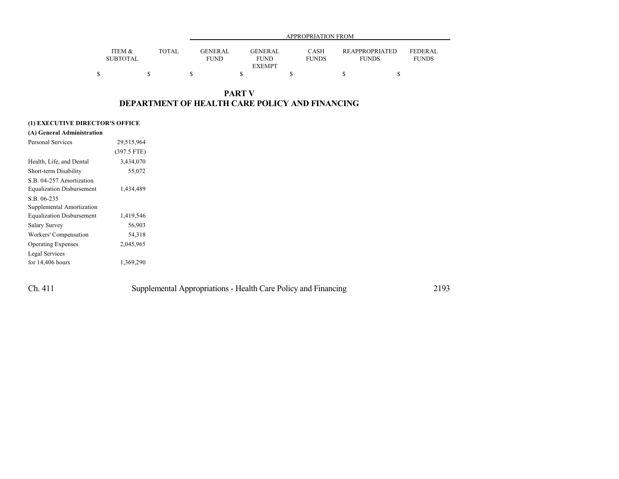|                           |              |                               | APPROPRIATION FROM                             |                             |                                       |                                |  |  |  |
|---------------------------|--------------|-------------------------------|------------------------------------------------|-----------------------------|---------------------------------------|--------------------------------|--|--|--|
| ITEM &<br><b>SUBTOTAL</b> | <b>TOTAL</b> | <b>GENERAL</b><br><b>FUND</b> | <b>GENERAL</b><br><b>FUND</b><br><b>EXEMPT</b> | <b>CASH</b><br><b>FUNDS</b> | <b>REAPPROPRIATED</b><br><b>FUNDS</b> | <b>FEDERAL</b><br><b>FUNDS</b> |  |  |  |
|                           |              |                               |                                                |                             |                                       |                                |  |  |  |

### **PART V DEPARTMENT OF HEALTH CARE POLICY AND FINANCING**

### **(1) EXECUTIVE DIRECTOR'S OFFICE**

| <b>Personal Services</b>         | 29,515,964    |
|----------------------------------|---------------|
|                                  | $(397.5$ FTE) |
| Health, Life, and Dental         | 3,434,070     |
| Short-term Disability            | 55,072        |
| S.B. 04-257 Amortization         |               |
| <b>Equalization Disbursement</b> | 1,434,489     |
| S.B. 06-235                      |               |
| Supplemental Amortization        |               |
| <b>Equalization Disbursement</b> | 1,419,546     |
| <b>Salary Survey</b>             | 56,903        |
| Workers' Compensation            | 54,318        |
| <b>Operating Expenses</b>        | 2,045,965     |
| Legal Services                   |               |
| for $14,406$ hours               | 1,369,290     |

| Ch. 411 | Supplemental Appropriations - Health Care Policy and Financing | 2193 |
|---------|----------------------------------------------------------------|------|
|---------|----------------------------------------------------------------|------|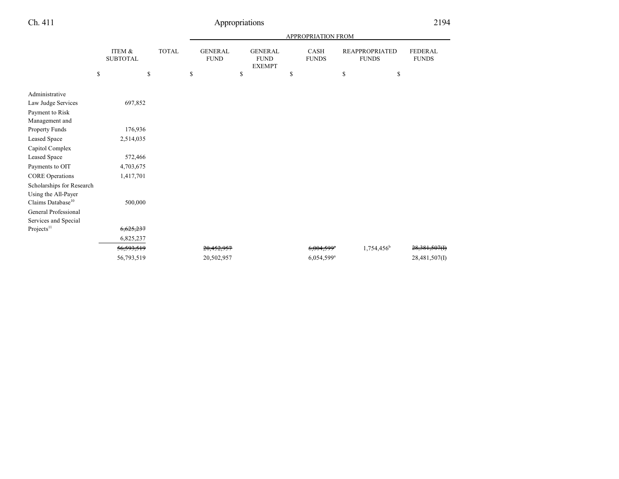| APPROPRIATION FROM             |  |  |  |  |  |
|--------------------------------|--|--|--|--|--|
| <b>FEDERAL</b><br><b>FUNDS</b> |  |  |  |  |  |
|                                |  |  |  |  |  |
|                                |  |  |  |  |  |
|                                |  |  |  |  |  |
|                                |  |  |  |  |  |
|                                |  |  |  |  |  |
|                                |  |  |  |  |  |
|                                |  |  |  |  |  |
|                                |  |  |  |  |  |
|                                |  |  |  |  |  |
|                                |  |  |  |  |  |
|                                |  |  |  |  |  |
| 28,381,507(I)                  |  |  |  |  |  |
| 28,481,507(I)                  |  |  |  |  |  |
|                                |  |  |  |  |  |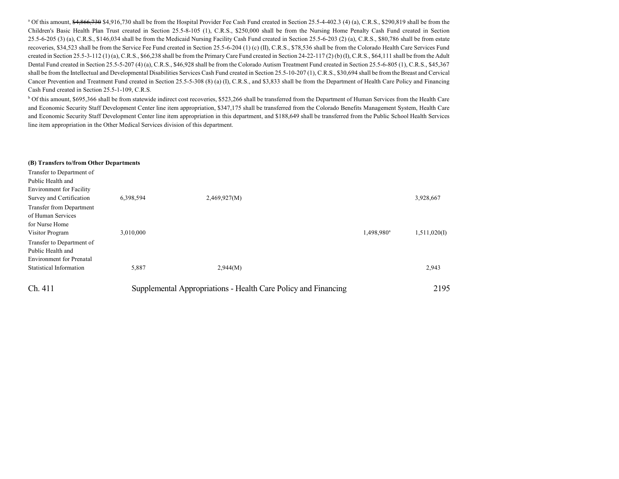<sup>a</sup> Of this amount, \$4,866,730 \$4,916,730 shall be from the Hospital Provider Fee Cash Fund created in Section 25.5-4-402.3 (4) (a), C.R.S., \$290,819 shall be from the Children's Basic Health Plan Trust created in Section 25.5-8-105 (1), C.R.S., \$250,000 shall be from the Nursing Home Penalty Cash Fund created in Section 25.5-6-205 (3) (a), C.R.S., \$146,034 shall be from the Medicaid Nursing Facility Cash Fund created in Section 25.5-6-203 (2) (a), C.R.S., \$80,786 shall be from estate recoveries, \$34,523 shall be from the Service Fee Fund created in Section 25.5-6-204 (1) (c) (II), C.R.S., \$78,536 shall be from the Colorado Health Care Services Fund created in Section 25.5-3-112 (1) (a), C.R.S., \$66,238 shall be from the Primary Care Fund created in Section 24-22-117 (2) (b) (I), C.R.S., \$64,111 shall be from the Adult Dental Fund created in Section 25.5-5-207 (4) (a), C.R.S., \$46,928 shall be from the Colorado Autism Treatment Fund created in Section 25.5-6-805 (1), C.R.S., \$45,367 shall be from the Intellectual and Developmental Disabilities Services Cash Fund created in Section 25.5-10-207 (1), C.R.S., \$30,694 shall be from the Breast and Cervical Cancer Prevention and Treatment Fund created in Section 25.5-5-308 (8) (a) (I), C.R.S., and \$3,833 shall be from the Department of Health Care Policy and Financing Cash Fund created in Section 25.5-1-109, C.R.S.

<sup>b</sup> Of this amount, \$695,366 shall be from statewide indirect cost recoveries, \$523,266 shall be transferred from the Department of Human Services from the Health Care and Economic Security Staff Development Center line item appropriation, \$347,175 shall be transferred from the Colorado Benefits Management System, Health Care and Economic Security Staff Development Center line item appropriation in this department, and \$188,649 shall be transferred from the Public School Health Services line item appropriation in the Other Medical Services division of this department.

#### **(B) Transfers to/from Other Departments**

| Transfer to Department of                                                          |           |                                                                |                        |              |
|------------------------------------------------------------------------------------|-----------|----------------------------------------------------------------|------------------------|--------------|
| Public Health and                                                                  |           |                                                                |                        |              |
| <b>Environment</b> for Facility                                                    |           |                                                                |                        |              |
| Survey and Certification                                                           | 6,398,594 | 2,469,927(M)                                                   |                        | 3,928,667    |
| Transfer from Department<br>of Human Services<br>for Nurse Home<br>Visitor Program | 3,010,000 |                                                                | 1,498,980 <sup>a</sup> | 1,511,020(I) |
| Transfer to Department of<br>Public Health and<br><b>Environment</b> for Prenatal  |           |                                                                |                        |              |
| <b>Statistical Information</b>                                                     | 5,887     | 2,944(M)                                                       |                        | 2,943        |
| Ch. 411                                                                            |           | Supplemental Appropriations - Health Care Policy and Financing |                        | 2195         |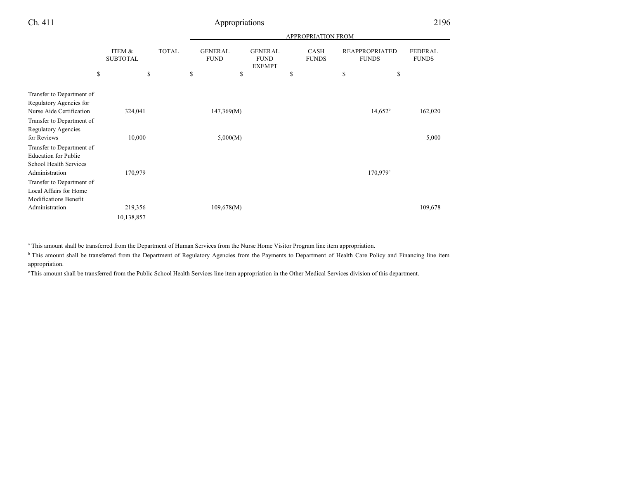|                                                                                                             |                           |                                               |    |            |                                                | <b>APPROPRIATION FROM</b>   |                                       |                                |
|-------------------------------------------------------------------------------------------------------------|---------------------------|-----------------------------------------------|----|------------|------------------------------------------------|-----------------------------|---------------------------------------|--------------------------------|
|                                                                                                             | ITEM &<br><b>SUBTOTAL</b> | <b>TOTAL</b><br><b>GENERAL</b><br><b>FUND</b> |    |            | <b>GENERAL</b><br><b>FUND</b><br><b>EXEMPT</b> | <b>CASH</b><br><b>FUNDS</b> | <b>REAPPROPRIATED</b><br><b>FUNDS</b> | <b>FEDERAL</b><br><b>FUNDS</b> |
|                                                                                                             | \$                        | \$                                            | \$ | \$         | \$                                             | \$                          | \$                                    |                                |
| Transfer to Department of<br>Regulatory Agencies for<br>Nurse Aide Certification                            | 324,041                   |                                               |    | 147,369(M) |                                                |                             | $14,652^b$                            | 162,020                        |
| Transfer to Department of<br><b>Regulatory Agencies</b><br>for Reviews                                      | 10,000                    |                                               |    | 5,000(M)   |                                                |                             |                                       | 5,000                          |
| Transfer to Department of<br><b>Education for Public</b><br><b>School Health Services</b><br>Administration | 170,979                   |                                               |    |            |                                                |                             | $170,979^{\circ}$                     |                                |
| Transfer to Department of<br>Local Affairs for Home<br><b>Modifications Benefit</b>                         |                           |                                               |    |            |                                                |                             |                                       |                                |
| Administration                                                                                              | 219,356<br>10,138,857     |                                               |    | 109,678(M) |                                                |                             |                                       | 109,678                        |

a This amount shall be transferred from the Department of Human Services from the Nurse Home Visitor Program line item appropriation.

<sup>b</sup> This amount shall be transferred from the Department of Regulatory Agencies from the Payments to Department of Health Care Policy and Financing line item appropriation.

<sup>c</sup>This amount shall be transferred from the Public School Health Services line item appropriation in the Other Medical Services division of this department.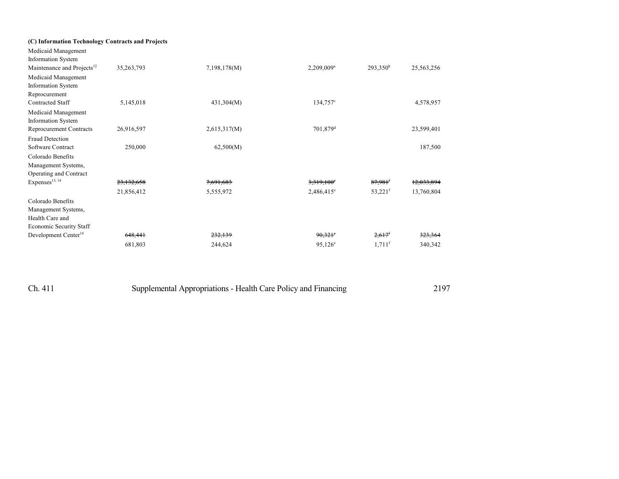| (C) Information Technology Contracts and Projects |              |                      |                        |             |
|---------------------------------------------------|--------------|----------------------|------------------------|-------------|
|                                                   |              |                      |                        | 25,563,256  |
|                                                   |              |                      |                        |             |
|                                                   |              |                      |                        |             |
|                                                   |              |                      |                        |             |
| 5,145,018                                         | 431,304(M)   | 134,757 <sup>c</sup> |                        | 4,578,957   |
|                                                   |              |                      |                        |             |
|                                                   |              |                      |                        |             |
| 26,916,597                                        | 2,615,317(M) | 701,879 <sup>d</sup> |                        | 23,599,401  |
|                                                   |              |                      |                        |             |
| 250,000                                           | 62,500(M)    |                      |                        | 187,500     |
|                                                   |              |                      |                        |             |
|                                                   |              |                      |                        |             |
|                                                   |              |                      |                        |             |
| 23,132,658                                        | 7,691,683    | $3,319,100^{\circ}$  | $87,981$ <sup>f</sup>  | 12,033,894  |
| 21,856,412                                        | 5,555,972    | $2,486,415^e$        | $53,221$ <sup>f</sup>  | 13,760,804  |
|                                                   |              |                      |                        |             |
|                                                   |              |                      |                        |             |
|                                                   |              |                      |                        |             |
|                                                   |              |                      |                        |             |
| 648,441                                           | 232,139      | $90,321$ °           | $2,617$ <sup>f</sup>   | 323,364     |
| 681,803                                           | 244,624      | $95,126^{\circ}$     | $1,711$ <sup>f</sup>   | 340,342     |
|                                                   | 35,263,793   | 7,198,178(M)         | 2,209,009 <sup>a</sup> | $293,350^b$ |

| Ch. 411 | Supplemental Appropriations - Health Care Policy and Financing | 2197 |
|---------|----------------------------------------------------------------|------|
|         |                                                                |      |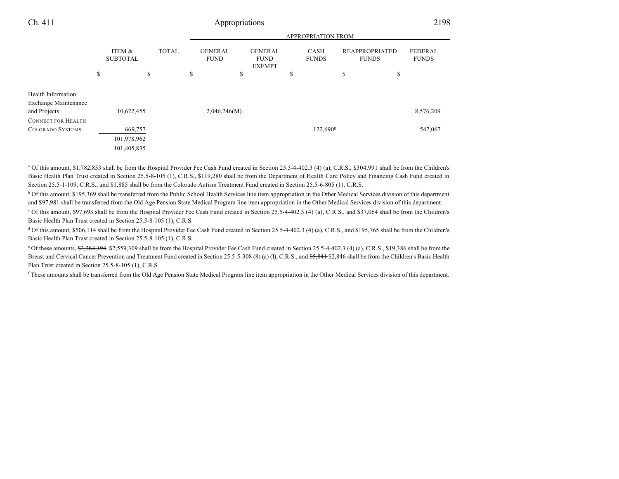APPROPRIATION FROM

|                                                                   |                           |                                       |              |                               |                                                | AFF NUF NIA HUIN F'NUIVI    |                                       |        |                                |
|-------------------------------------------------------------------|---------------------------|---------------------------------------|--------------|-------------------------------|------------------------------------------------|-----------------------------|---------------------------------------|--------|--------------------------------|
|                                                                   | ITEM &<br><b>SUBTOTAL</b> |                                       | <b>TOTAL</b> | <b>GENERAL</b><br><b>FUND</b> | <b>GENERAL</b><br><b>FUND</b><br><b>EXEMPT</b> | <b>CASH</b><br><b>FUNDS</b> | <b>REAPPROPRIATED</b><br><b>FUNDS</b> |        | <b>FEDERAL</b><br><b>FUNDS</b> |
|                                                                   | \$                        | \$                                    |              | \$<br>\$                      |                                                | \$                          | \$                                    | ₼<br>ъ |                                |
| Health Information<br><b>Exchange Maintenance</b><br>and Projects |                           | 10,622,455                            |              | 2,046,246(M)                  |                                                |                             |                                       |        | 8,576,209                      |
| <b>CONNECT FOR HEALTH</b><br><b>COLORADO SYSTEMS</b>              |                           | 669,757<br>101,978,962<br>101,405,835 |              |                               |                                                | $122,690^{\rm g}$           |                                       |        | 547,067                        |

<sup>a</sup> Of this amount, \$1,782,853 shall be from the Hospital Provider Fee Cash Fund created in Section 25.5-4-402.3 (4) (a), C.R.S., \$304,991 shall be from the Children's Basic Health Plan Trust created in Section 25.5-8-105 (1), C.R.S., \$119,280 shall be from the Department of Health Care Policy and Financing Cash Fund created in Section 25.5-1-109, C.R.S., and \$1,885 shall be from the Colorado Autism Treatment Fund created in Section 25.5-6-805 (1), C.R.S.

<sup>b</sup> Of this amount, \$195,369 shall be transferred from the Public School Health Services line item appropriation in the Other Medical Services division of this department and \$97,981 shall be transferred from the Old Age Pension State Medical Program line item appropriation in the Other Medical Services division of this department.

<sup>c</sup> Of this amount, \$97,693 shall be from the Hospital Provider Fee Cash Fund created in Section 25.5-4-402.3 (4) (a), C.R.S., and \$37,064 shall be from the Children's Basic Health Plan Trust created in Section 25.5-8-105 (1), C.R.S.

<sup>d</sup> Of this amount, \$506,114 shall be from the Hospital Provider Fee Cash Fund created in Section 25.5-4-402.3 (4) (a), C.R.S., and \$195,765 shall be from the Children's Basic Health Plan Trust created in Section 25.5-8-105 (1), C.R.S.

<sup>e</sup> Of these amounts, <del>\$3,384,194</del> \$2,559,309 shall be from the Hospital Provider Fee Cash Fund created in Section 25.5-4-402.3 (4) (a), C.R.S., \$19,386 shall be from the Breast and Cervical Cancer Prevention and Treatment Fund created in Section 25.5-5-308 (8) (a) (I), C.R.S., and \$5,841 \$2,846 shall be from the Children's Basic Health Plan Trust created in Section 25.5-8-105 (1), C.R.S.

<sup>f</sup> These amounts shall be transferred from the Old Age Pension State Medical Program line item appropriation in the Other Medical Services division of this department.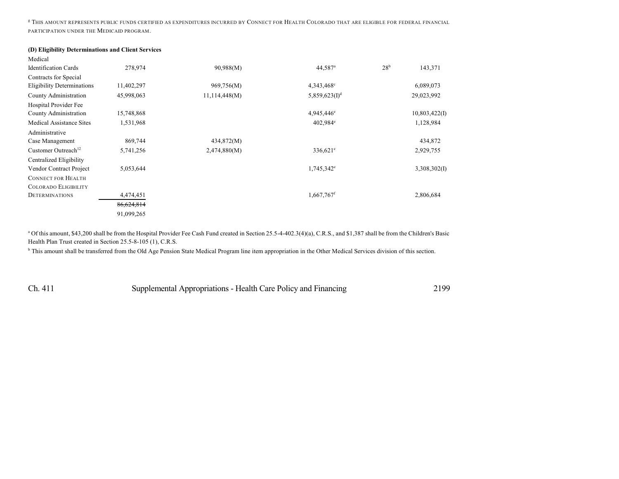<sup>g</sup> THIS AMOUNT REPRESENTS PUBLIC FUNDS CERTIFIED AS EXPENDITURES INCURRED BY CONNECT FOR HEALTH COLORADO THAT ARE ELIGIBLE FOR FEDERAL FINANCIAL PARTICIPATION UNDER THE MEDICAID PROGRAM.

#### **(D) Eligibility Determinations and Client Services**

| Medical                           |            |               |                           |                 |               |
|-----------------------------------|------------|---------------|---------------------------|-----------------|---------------|
| <b>Identification Cards</b>       | 278,974    | 90,988(M)     | 44,587 <sup>a</sup>       | 28 <sup>b</sup> | 143,371       |
| Contracts for Special             |            |               |                           |                 |               |
| <b>Eligibility Determinations</b> | 11,402,297 | 969,756(M)    | 4,343,468°                |                 | 6,089,073     |
| County Administration             | 45,998,063 | 11,114,448(M) | 5,859,623(I) <sup>d</sup> |                 | 29,023,992    |
| Hospital Provider Fee             |            |               |                           |                 |               |
| County Administration             | 15,748,868 |               | $4,945,446$ <sup>e</sup>  |                 | 10,803,422(I) |
| <b>Medical Assistance Sites</b>   | 1,531,968  |               | $402,984^{\circ}$         |                 | 1,128,984     |
| Administrative                    |            |               |                           |                 |               |
| Case Management                   | 869,744    | 434,872(M)    |                           |                 | 434,872       |
| Customer Outreach <sup>12</sup>   | 5,741,256  | 2,474,880(M)  | $336,621^{\circ}$         |                 | 2,929,755     |
| Centralized Eligibility           |            |               |                           |                 |               |
| Vendor Contract Project           | 5,053,644  |               | $1,745,342^e$             |                 | 3,308,302(I)  |
| <b>CONNECT FOR HEALTH</b>         |            |               |                           |                 |               |
| <b>COLORADO ELIGIBILITY</b>       |            |               |                           |                 |               |
| <b>DETERMINATIONS</b>             | 4,474,451  |               | 1,667,767 <sup>f</sup>    |                 | 2,806,684     |
|                                   | 86,624,814 |               |                           |                 |               |
|                                   | 91,099,265 |               |                           |                 |               |

<sup>a</sup> Of this amount, \$43,200 shall be from the Hospital Provider Fee Cash Fund created in Section 25.5-4-402.3(4)(a), C.R.S., and \$1,387 shall be from the Children's Basic Health Plan Trust created in Section 25.5-8-105 (1), C.R.S.

<sup>b</sup> This amount shall be transferred from the Old Age Pension State Medical Program line item appropriation in the Other Medical Services division of this section.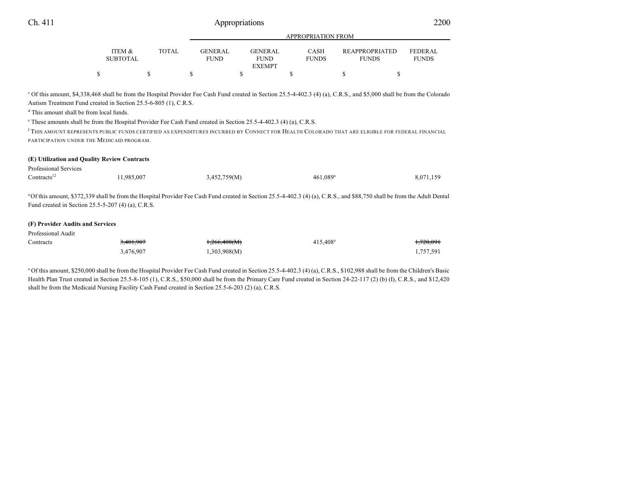|                           |              |                                | APPROPRIATION FROM       |                             |                                       |                                |  |  |
|---------------------------|--------------|--------------------------------|--------------------------|-----------------------------|---------------------------------------|--------------------------------|--|--|
| ITEM &<br><b>SUBTOTAL</b> | <b>TOTAL</b> | <b>GENER AL</b><br><b>FUND</b> | GENER AL.<br><b>FUND</b> | <b>CASH</b><br><b>FUNDS</b> | <b>REAPPROPRIATED</b><br><b>FUNDS</b> | <b>FEDERAL</b><br><b>FUNDS</b> |  |  |
|                           |              |                                | <b>EXEMPT</b>            |                             |                                       |                                |  |  |
|                           |              |                                |                          |                             |                                       |                                |  |  |

<sup>c</sup> Of this amount, \$4,338,468 shall be from the Hospital Provider Fee Cash Fund created in Section 25.5-4-402.3 (4) (a), C.R.S., and \$5,000 shall be from the Colorado Autism Treatment Fund created in Section 25.5-6-805 (1), C.R.S.

d This amount shall be from local funds.

e These amounts shall be from the Hospital Provider Fee Cash Fund created in Section 25.5-4-402.3 (4) (a), C.R.S.

f THIS AMOUNT REPRESENTS PUBLIC FUNDS CERTIFIED AS EXPENDITURES INCURRED BY CONNECT FOR HEALTH COLORADO THAT ARE ELIGIBLE FOR FEDERAL FINANCIAL PARTICIPATION UNDER THE MEDICAID PROGRAM.

| 8,071,159                                                                                                                                                                             |
|---------------------------------------------------------------------------------------------------------------------------------------------------------------------------------------|
|                                                                                                                                                                                       |
| <sup>a</sup> Of this amount, \$372,339 shall be from the Hospital Provider Fee Cash Fund created in Section 25.5-4-402.3 (4) (a), C.R.S., and \$88,750 shall be from the Adult Dental |
|                                                                                                                                                                                       |
|                                                                                                                                                                                       |
|                                                                                                                                                                                       |
|                                                                                                                                                                                       |
| <del>.720.091</del>                                                                                                                                                                   |
|                                                                                                                                                                                       |

<sup>a</sup> Of this amount, \$250,000 shall be from the Hospital Provider Fee Cash Fund created in Section 25.5-4-402.3 (4) (a), C.R.S., \$102,988 shall be from the Children's Basic Health Plan Trust created in Section 25.5-8-105 (1), C.R.S., \$50,000 shall be from the Primary Care Fund created in Section 24-22-117 (2) (b) (I), C.R.S., and \$12,420 shall be from the Medicaid Nursing Facility Cash Fund created in Section 25.5-6-203 (2) (a), C.R.S.

3,476,907 1,303,908(M) 1,303,908(M) 1,757,591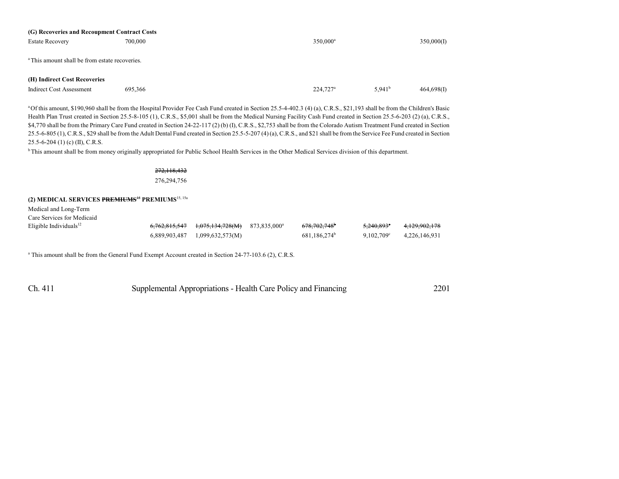| (G) Recoveries and Recoupment Contract Costs              |         |                      |                    |            |
|-----------------------------------------------------------|---------|----------------------|--------------------|------------|
| <b>Estate Recovery</b>                                    | 700,000 | 350,000 <sup>a</sup> |                    | 350,000(I) |
|                                                           |         |                      |                    |            |
|                                                           |         |                      |                    |            |
| <sup>a</sup> This amount shall be from estate recoveries. |         |                      |                    |            |
|                                                           |         |                      |                    |            |
| (H) Indirect Cost Recoveries                              |         |                      |                    |            |
| Indirect Cost Assessment                                  | 695.366 | 224,727 <sup>a</sup> | 5.941 <sup>b</sup> | 464,698(I) |
|                                                           |         |                      |                    |            |

<sup>a</sup>Of this amount, \$190,960 shall be from the Hospital Provider Fee Cash Fund created in Section 25.5-4-402.3 (4) (a), C.R.S., \$21,193 shall be from the Children's Basic Health Plan Trust created in Section 25.5-8-105 (1), C.R.S., \$5,001 shall be from the Medical Nursing Facility Cash Fund created in Section 25.5-6-203 (2) (a), C.R.S., \$4,770 shall be from the Primary Care Fund created in Section 24-22-117 (2) (b) (I), C.R.S., \$2,753 shall be from the Colorado Autism Treatment Fund created in Section 25.5-6-805 (1), C.R.S., \$29 shall be from the Adult Dental Fund created in Section 25.5-5-207 (4) (a), C.R.S., and \$21 shall be from the Service Fee Fund created in Section 25.5-6-204 (1) (c) (II), C.R.S.

<sup>b</sup>This amount shall be from money originally appropriated for Public School Health Services in the Other Medical Services division of this department.

#### 272,118,432 276,294,756

#### **(2) MEDICAL SERVICES PREMIUMS**<sup>15</sup> **PREMIUMS**15, 15a

Medical and Long-Term Care Services for Medicaid

Eligible Individuals<sup>12</sup>

|  | $6,762,815,547$ $1,075,134,728(M)$ $873,835,000^{\circ}$ | 678.702.748 <sup>b</sup> | <del>5,240,893</del> ° | <del>4.129.902.178</del> |
|--|----------------------------------------------------------|--------------------------|------------------------|--------------------------|
|  | $6,889,903,487$ $1,099,632,573(M)$                       | 681.186.274 <sup>b</sup> | $9.102.709^{\circ}$    | 4.226.146.931            |

<sup>a</sup> This amount shall be from the General Fund Exempt Account created in Section 24-77-103.6 (2), C.R.S.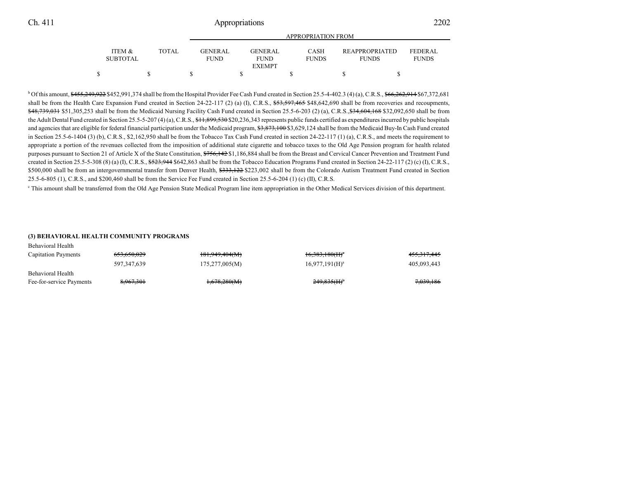|                   |       | APPROPRIATION FROM |  |                |  |              |  |                       |                |
|-------------------|-------|--------------------|--|----------------|--|--------------|--|-----------------------|----------------|
|                   |       |                    |  |                |  |              |  |                       |                |
| <b>ITEM &amp;</b> | TOTAL | GENER AL.          |  | <b>GENERAL</b> |  | <b>CASH</b>  |  | <b>REAPPROPRIATED</b> | <b>FEDERAL</b> |
| <b>SUBTOTAL</b>   |       | <b>FUND</b>        |  | <b>FUND</b>    |  | <b>FUNDS</b> |  | <b>FUNDS</b>          | <b>FUNDS</b>   |
|                   |       |                    |  | <b>EXEMPT</b>  |  |              |  |                       |                |
|                   |       |                    |  |                |  |              |  |                       |                |

 $b$  Of this amount,  $$455,249,922$$  \$452,991,374 shall be from the Hospital Provider Fee Cash Fund created in Section 25.5-4-402.3 (4) (a), C.R.S.,  $$66,262,914$$  \$67,372,681 shall be from the Health Care Expansion Fund created in Section 24-22-117 (2) (a) (I), C.R.S.,  $$53,597,465$  \$48,642,690 shall be from recoveries and recoupments, \$48,739,031 \$51,305,253 shall be from the Medicaid Nursing Facility Cash Fund created in Section 25.5-6-203 (2) (a), C.R.S., \$34,604,168 \$32,092,650 shall be from the Adult Dental Fund created in Section 25.5-5-207 (4) (a), C.R.S., \$11,899,530 \$20,236,343 represents public funds certified as expenditures incurred by public hospitals and agencies that are eligible for federal financial participation under the Medicaid program, \$3,873,100 \$3,629,124 shall be from the Medicaid Buy-In Cash Fund created in Section 25.5-6-1404 (3) (b), C.R.S., \$2,162,950 shall be from the Tobacco Tax Cash Fund created in section 24-22-117 (1) (a), C.R.S., and meets the requirement to appropriate a portion of the revenues collected from the imposition of additional state cigarette and tobacco taxes to the Old Age Pension program for health related purposes pursuant to Section 21 of Article X of the State Constitution, \$756,142 \$1,186,884 shall be from the Breast and Cervical Cancer Prevention and Treatment Fund created in Section 25.5-5-308 (8) (a) (I), C.R.S.,  $$523,944$642,863$  shall be from the Tobacco Education Programs Fund created in Section 24-22-117 (2) (c) (I), C.R.S., \$500,000 shall be from an intergovernmental transfer from Denver Health, \$333,122 \$223,002 shall be from the Colorado Autism Treatment Fund created in Section 25.5-6-805 (1), C.R.S., and \$200,460 shall be from the Service Fee Fund created in Section 25.5-6-204 (1) (c) (II), C.R.S.

c This amount shall be transferred from the Old Age Pension State Medical Program line item appropriation in the Other Medical Services division of this department.

#### **(3) BEHAVIORAL HEALTH COMMUNITY PROGRAMS**

| Behavioral Health          |                        |                         |                            |             |
|----------------------------|------------------------|-------------------------|----------------------------|-------------|
| <b>Capitation Payments</b> | <del>653,650,029</del> | 181,949,404(M)          | $16,383,180(H)^a$          | 455,317,445 |
|                            | 597, 347, 639          | 175,277,005(M)          | $16,977,191(H)^a$          | 405,093,443 |
| Behavioral Health          |                        |                         |                            |             |
| Fee-for-service Payments   | 8.967.301              | <del>1,678,280(M)</del> | $249.835$ (H) <sup>b</sup> | 7,039,186   |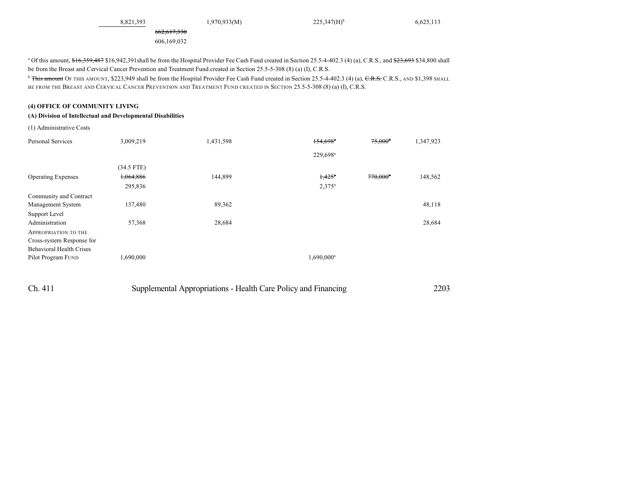8,821,393 1,970,933(M) 225,347(H)<sup>b</sup>

662,617,330 606,169,032

<sup>a</sup> Of this amount, \$16,359,487 \$16,942,391shall be from the Hospital Provider Fee Cash Fund created in Section 25.5-4-402.3 (4) (a), C.R.S., and \$23,693 \$34,800 shall be from the Breast and Cervical Cancer Prevention and Treatment Fund created in Section 25.5-5-308 (8) (a) (I), C.R.S.

<sup>b</sup> <del>This amount</del> OF THIS AMOUNT, \$223,949 shall be from the Hospital Provider Fee Cash Fund created in Section 25.5-4-402.3 (4) (a), <del>C.R.S.</del> C.R.S., AND \$1,398 SHALL BE FROM THE BREAST AND CERVICAL CANCER PREVENTION AND TREATMENT FUND CREATED IN SECTION 25.5-5-308 (8) (a) (I), C.R.S.

#### **(4) OFFICE OF COMMUNITY LIVING**

#### **(A) Division of Intellectual and Developmental Disabilities**

(1) Administrative Costs

| <b>Personal Services</b>        | 3,009,219    | 1,431,598 | $154,698$ <sup>*</sup> | $75,000^{\circ}$  | 1,347,923 |
|---------------------------------|--------------|-----------|------------------------|-------------------|-----------|
|                                 |              |           | 229,698 <sup>a</sup>   |                   |           |
|                                 | $(34.5$ FTE) |           |                        |                   |           |
| <b>Operating Expenses</b>       | 1,064,886    | 144,899   | $1,425$ <sup>a</sup>   | $770,000^{\circ}$ | 148,562   |
|                                 | 295,836      |           | $2,375^a$              |                   |           |
| Community and Contract          |              |           |                        |                   |           |
| Management System               | 137,480      | 89,362    |                        |                   | 48,118    |
| Support Level                   |              |           |                        |                   |           |
| Administration                  | 57,368       | 28,684    |                        |                   | 28,684    |
| <b>APPROPRIATION TO THE</b>     |              |           |                        |                   |           |
| Cross-system Response for       |              |           |                        |                   |           |
| <b>Behavioral Health Crises</b> |              |           |                        |                   |           |
| Pilot Program FUND              | 1,690,000    |           | 1,690,000 <sup>a</sup> |                   |           |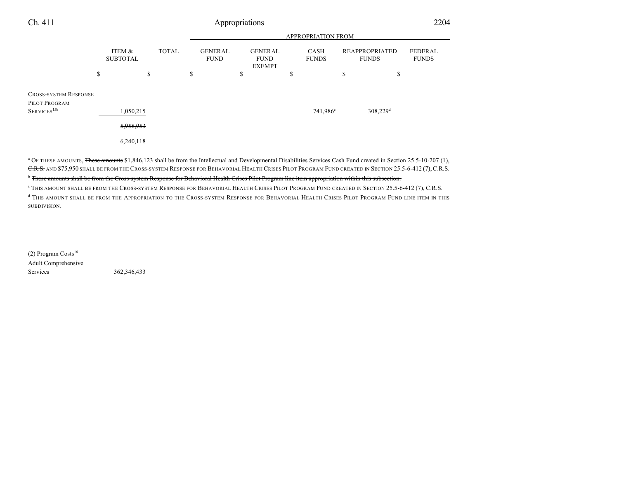| Ch. 411                                       | Appropriations            |    |              |    |                               |    |                                                |    | 2204                 |                                |                                |
|-----------------------------------------------|---------------------------|----|--------------|----|-------------------------------|----|------------------------------------------------|----|----------------------|--------------------------------|--------------------------------|
|                                               |                           |    |              |    |                               |    |                                                |    | APPROPRIATION FROM   |                                |                                |
|                                               | ITEM &<br><b>SUBTOTAL</b> |    | <b>TOTAL</b> |    | <b>GENERAL</b><br><b>FUND</b> |    | <b>GENERAL</b><br><b>FUND</b><br><b>EXEMPT</b> |    | CASH<br><b>FUNDS</b> | REAPPROPRIATED<br><b>FUNDS</b> | <b>FEDERAL</b><br><b>FUNDS</b> |
|                                               | \$                        | \$ |              | \$ |                               | \$ |                                                | \$ |                      | \$<br>\$                       |                                |
| <b>CROSS-SYSTEM RESPONSE</b><br>PILOT PROGRAM |                           |    |              |    |                               |    |                                                |    |                      |                                |                                |
| $S$ ERVICES <sup>15b</sup>                    | 1,050,215                 |    |              |    |                               |    |                                                |    | 741,986 <sup>c</sup> | 308,229 <sup>d</sup>           |                                |
|                                               | 5,958,953                 |    |              |    |                               |    |                                                |    |                      |                                |                                |
|                                               | 6,240,118                 |    |              |    |                               |    |                                                |    |                      |                                |                                |

<sup>a</sup> OF THESE AMOUNTS, <del>These amounts</del> \$1,846,123 shall be from the Intellectual and Developmental Disabilities Services Cash Fund created in Section 25.5-10-207 (1), C.R.S. AND \$75,950 SHALL BE FROM THE CROSS-SYSTEM RESPONSE FOR BEHAVORIAL HEALTH CRISES PILOT PROGRAM FUND CREATED IN SECTION 25.5-6-412 (7), C.R.S. b These amounts shall be from the Cross-system Response for Behavioral Health Crises Pilot Program line item appropriation within this subsection.

c THIS AMOUNT SHALL BE FROM THE CROSS-SYSTEM RESPONSE FOR BEHAVORIAL HEALTH CRISES PILOT PROGRAM FUND CREATED IN SECTION 25.5-6-412 (7), C.R.S.

d THIS AMOUNT SHALL BE FROM THE APPROPRIATION TO THE CROSS-SYSTEM RESPONSE FOR BEHAVORIAL HEALTH CRISES PILOT PROGRAM FUND LINE ITEM IN THIS SUBDIVISION.

(2) Program Costs 16 Adult Comprehensive Services 362,346,433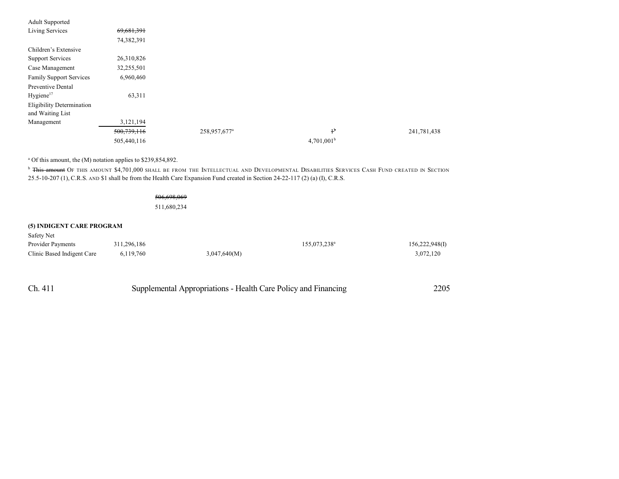| <b>Adult Supported</b>           |             |                          |                        |             |
|----------------------------------|-------------|--------------------------|------------------------|-------------|
| Living Services                  | 69,681,391  |                          |                        |             |
|                                  | 74,382,391  |                          |                        |             |
| Children's Extensive             |             |                          |                        |             |
| <b>Support Services</b>          | 26,310,826  |                          |                        |             |
| Case Management                  | 32,255,501  |                          |                        |             |
| <b>Family Support Services</b>   | 6,960,460   |                          |                        |             |
| Preventive Dental                |             |                          |                        |             |
| Hygiene <sup>17</sup>            | 63,311      |                          |                        |             |
| <b>Eligibility Determination</b> |             |                          |                        |             |
| and Waiting List                 |             |                          |                        |             |
| Management                       | 3,121,194   |                          |                        |             |
|                                  | 500,739,116 | 258,957,677 <sup>a</sup> | $1^{\rm b}$            | 241,781,438 |
|                                  | 505,440,116 |                          | 4,701,001 <sup>b</sup> |             |

<sup>a</sup> Of this amount, the (M) notation applies to \$239,854,892.

<sup>b</sup> This amount OF THIS AMOUNT \$4,701,000 SHALL BE FROM THE INTELLECTUAL AND DEVELOPMENTAL DISABILITIES SERVICES CASH FUND CREATED IN SECTION 25.5-10-207 (1), C.R.S. AND \$1 shall be from the Health Care Expansion Fund created in Section 24-22-117 (2) (a) (I), C.R.S.

### 506,698,069

511,680,234

#### **(5) INDIGENT CARE PROGRAM**

| Safety Net                 |             |              |                          |                |
|----------------------------|-------------|--------------|--------------------------|----------------|
| <b>Provider Payments</b>   | 311.296.186 |              | 155,073,238 <sup>a</sup> | 156,222,948(I) |
| Clinic Based Indigent Care | 6,119,760   | 3,047,640(M) |                          | 3.072.120      |

| Ch. 411 | Supplemental Appropriations - Health Care Policy and Financing | 2205 |
|---------|----------------------------------------------------------------|------|
|---------|----------------------------------------------------------------|------|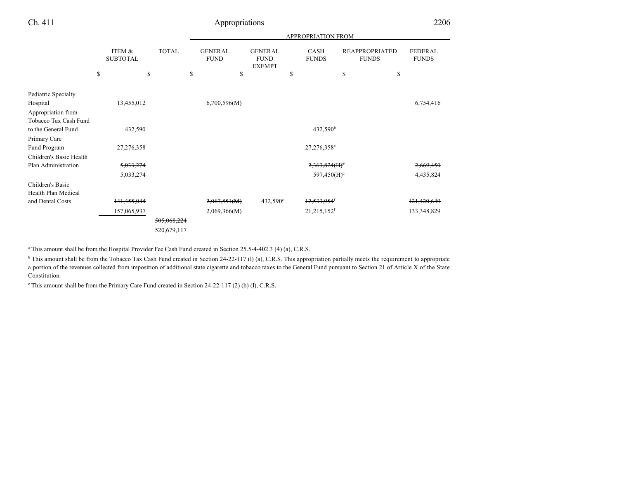|  |             |                 |                   | <b>APPROPRIATION FROM</b>                  |             |                |                                                    |                   |                             |                         |                                                   |                                |
|--|-------------|-----------------|-------------------|--------------------------------------------|-------------|----------------|----------------------------------------------------|-------------------|-----------------------------|-------------------------|---------------------------------------------------|--------------------------------|
|  | ITEM &      |                 |                   |                                            | <b>FUND</b> |                | <b>GENERAL</b><br><b>FUND</b><br><b>EXEMPT</b>     |                   | <b>CASH</b><br><b>FUNDS</b> |                         | <b>FUNDS</b>                                      | <b>FEDERAL</b><br><b>FUNDS</b> |
|  |             |                 |                   |                                            |             |                |                                                    |                   |                             |                         |                                                   |                                |
|  |             |                 |                   |                                            |             |                |                                                    |                   |                             |                         |                                                   |                                |
|  | 13,455,012  |                 |                   |                                            |             |                |                                                    |                   |                             |                         |                                                   | 6,754,416                      |
|  |             |                 |                   |                                            |             |                |                                                    |                   |                             |                         |                                                   |                                |
|  |             |                 |                   |                                            |             |                |                                                    |                   |                             |                         |                                                   |                                |
|  | 432,590     |                 |                   |                                            |             |                |                                                    |                   | 432,590 <sup>b</sup>        |                         |                                                   |                                |
|  |             |                 |                   |                                            |             |                |                                                    |                   |                             |                         |                                                   |                                |
|  | 27,276,358  |                 |                   |                                            |             |                |                                                    |                   | 27,276,358°                 |                         |                                                   |                                |
|  |             |                 |                   |                                            |             |                |                                                    |                   |                             |                         |                                                   |                                |
|  | 5,033,274   |                 |                   |                                            |             |                |                                                    |                   |                             |                         |                                                   | 2,669,450                      |
|  | 5,033,274   |                 |                   |                                            |             |                |                                                    |                   |                             |                         |                                                   | 4,435,824                      |
|  |             |                 |                   |                                            |             |                |                                                    |                   |                             |                         |                                                   |                                |
|  |             |                 |                   |                                            |             |                |                                                    |                   |                             |                         |                                                   |                                |
|  |             |                 |                   |                                            |             |                |                                                    |                   |                             |                         |                                                   | 121,420,649                    |
|  | 157,065,937 |                 |                   |                                            |             |                |                                                    |                   | 21,215,152 <sup>f</sup>     |                         |                                                   | 133,348,829                    |
|  |             |                 |                   |                                            |             |                |                                                    |                   |                             |                         |                                                   |                                |
|  |             |                 |                   |                                            |             |                |                                                    |                   |                             |                         |                                                   |                                |
|  | \$          | <b>SUBTOTAL</b> | \$<br>141,455,044 | <b>TOTAL</b><br>505,068,224<br>520,679,117 | \$          | <b>GENERAL</b> | \$<br>6,700,596(M)<br>2,067,851(M)<br>2,069,366(M) | $432,590^{\circ}$ | \$                          | 17,533,954 <sup>6</sup> | \$<br>$2,363,824(H)^d$<br>597,450(H) <sup>d</sup> | <b>REAPPROPRIATED</b><br>\$    |

a This amount shall be from the Hospital Provider Fee Cash Fund created in Section 25.5-4-402.3 (4) (a), C.R.S.

<sup>b</sup> This amount shall be from the Tobacco Tax Cash Fund created in Section 24-22-117 (l) (a), C.R.S. This appropriation partially meets the requirement to appropriate a portion of the revenues collected from imposition of additional state cigarette and tobacco taxes to the General Fund pursuant to Section 21 of Article X of the State Constitution.

<sup>c</sup> This amount shall be from the Primary Care Fund created in Section 24-22-117 (2) (b) (I), C.R.S.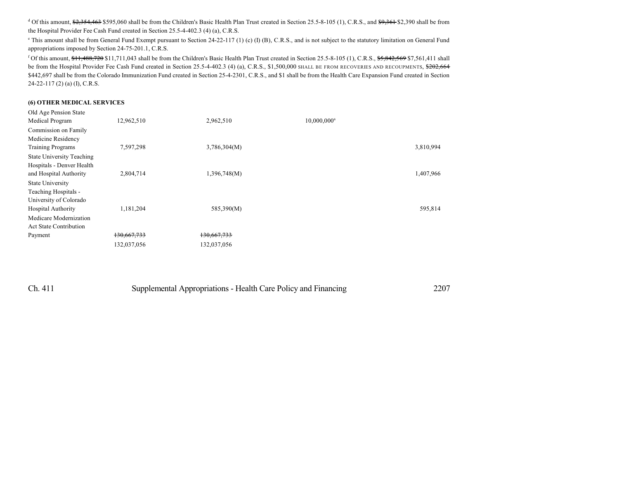<sup>d</sup> Of this amount, <del>\$2,354,463</del> \$595,060 shall be from the Children's Basic Health Plan Trust created in Section 25.5-8-105 (1), C.R.S., and \$<del>9,361</del> \$2,390 shall be from the Hospital Provider Fee Cash Fund created in Section 25.5-4-402.3 (4) (a), C.R.S.

<sup>e</sup> This amount shall be from General Fund Exempt pursuant to Section 24-22-117 (1) (c) (I) (B), C.R.S., and is not subject to the statutory limitation on General Fund appropriations imposed by Section 24-75-201.1, C.R.S.

<sup>f</sup> Of this amount,  $\frac{11,488,720}{1,711,043}$  shall be from the Children's Basic Health Plan Trust created in Section 25.5-8-105 (1), C.R.S.,  $\frac{55,842,569}{1,561,411}$  shall be from the Hospital Provider Fee Cash Fund created in Section 25.5-4-402.3 (4) (a), C.R.S., \$1,500,000 SHALL BE FROM RECOVERIES AND RECOUPMENTS, \$202,664 \$442,697 shall be from the Colorado Immunization Fund created in Section 25-4-2301, C.R.S., and \$1 shall be from the Health Care Expansion Fund created in Section 24-22-117 (2) (a) (I), C.R.S.

#### **(6) OTHER MEDICAL SERVICES**

| Old Age Pension State<br>Medical Program | 12,962,510  | 2,962,510    | $10,000,000$ <sup>a</sup> |           |
|------------------------------------------|-------------|--------------|---------------------------|-----------|
| Commission on Family                     |             |              |                           |           |
| Medicine Residency                       |             |              |                           |           |
| <b>Training Programs</b>                 | 7,597,298   | 3,786,304(M) |                           | 3,810,994 |
| <b>State University Teaching</b>         |             |              |                           |           |
| Hospitals - Denver Health                |             |              |                           |           |
| and Hospital Authority                   | 2,804,714   | 1,396,748(M) |                           | 1,407,966 |
| <b>State University</b>                  |             |              |                           |           |
| Teaching Hospitals -                     |             |              |                           |           |
| University of Colorado                   |             |              |                           |           |
| Hospital Authority                       | 1,181,204   | 585,390(M)   |                           | 595,814   |
| Medicare Modernization                   |             |              |                           |           |
| <b>Act State Contribution</b>            |             |              |                           |           |
| Payment                                  | 130,667,733 | 130,667,733  |                           |           |
|                                          | 132,037,056 | 132,037,056  |                           |           |

| Ch. 411 | Supplemental Appropriations - Health Care Policy and Financing | 2207 |
|---------|----------------------------------------------------------------|------|
|---------|----------------------------------------------------------------|------|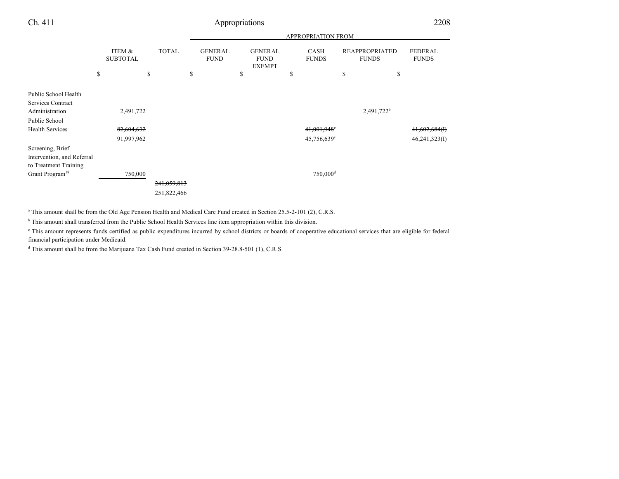|                                                                                                        |                           |              |                               |                                                | APPROPRIATION FROM                                 |                                       |                                   |
|--------------------------------------------------------------------------------------------------------|---------------------------|--------------|-------------------------------|------------------------------------------------|----------------------------------------------------|---------------------------------------|-----------------------------------|
|                                                                                                        | ITEM &<br><b>SUBTOTAL</b> | <b>TOTAL</b> | <b>GENERAL</b><br><b>FUND</b> | <b>GENERAL</b><br><b>FUND</b><br><b>EXEMPT</b> | CASH<br><b>FUNDS</b>                               | <b>REAPPROPRIATED</b><br><b>FUNDS</b> | <b>FEDERAL</b><br><b>FUNDS</b>    |
|                                                                                                        | \$                        | \$           | \$                            | \$                                             | \$                                                 | \$<br>\$                              |                                   |
| Public School Health<br><b>Services Contract</b>                                                       |                           |              |                               |                                                |                                                    |                                       |                                   |
| Administration                                                                                         | 2,491,722                 |              |                               |                                                |                                                    | 2,491,722 <sup>b</sup>                |                                   |
| Public School<br><b>Health Services</b>                                                                | 82,604,632<br>91,997,962  |              |                               |                                                | 41,001,948 <sup>e</sup><br>45,756,639 <sup>c</sup> |                                       | $41,602,684$ (I)<br>46,241,323(I) |
| Screening, Brief<br>Intervention, and Referral<br>to Treatment Training<br>Grant Program <sup>18</sup> | 750,000                   |              |                               |                                                | $750,000$ <sup>d</sup>                             |                                       |                                   |
|                                                                                                        |                           | 241,059,813  |                               |                                                |                                                    |                                       |                                   |
|                                                                                                        |                           | 251,822,466  |                               |                                                |                                                    |                                       |                                   |

a This amount shall be from the Old Age Pension Health and Medical Care Fund created in Section 25.5-2-101 (2), C.R.S.

<sup>b</sup> This amount shall transferred from the Public School Health Services line item appropriation within this division.

<sup>c</sup> This amount represents funds certified as public expenditures incurred by school districts or boards of cooperative educational services that are eligible for federal financial participation under Medicaid.

d This amount shall be from the Marijuana Tax Cash Fund created in Section 39-28.8-501 (1), C.R.S.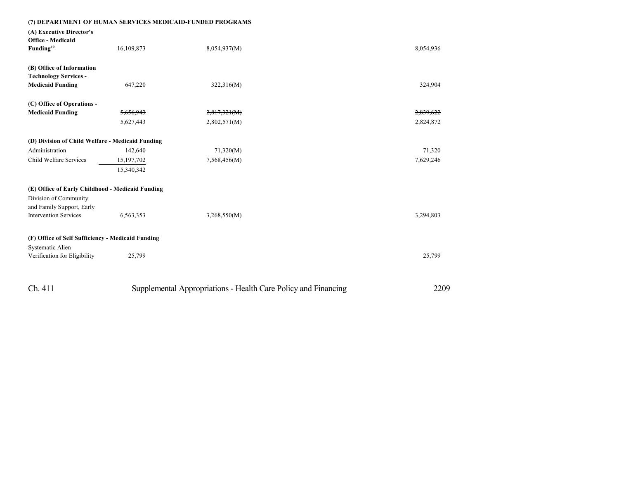| (7) DEPARTMENT OF HUMAN SERVICES MEDICAID-FUNDED PROGRAMS                     |            |                                                                |           |
|-------------------------------------------------------------------------------|------------|----------------------------------------------------------------|-----------|
| (A) Executive Director's<br><b>Office - Medicaid</b><br>Funding <sup>19</sup> | 16,109,873 | 8,054,937(M)                                                   | 8,054,936 |
| (B) Office of Information                                                     |            |                                                                |           |
| <b>Technology Services -</b>                                                  |            |                                                                |           |
| <b>Medicaid Funding</b>                                                       | 647,220    | 322,316(M)                                                     | 324,904   |
| (C) Office of Operations -                                                    |            |                                                                |           |
| <b>Medicaid Funding</b>                                                       | 5,656,943  | 2,817,321(M)                                                   | 2,839,622 |
|                                                                               | 5,627,443  | 2,802,571(M)                                                   | 2,824,872 |
| (D) Division of Child Welfare - Medicaid Funding                              |            |                                                                |           |
| Administration                                                                | 142,640    | 71,320(M)                                                      | 71,320    |
| Child Welfare Services                                                        | 15,197,702 | 7,568,456(M)                                                   | 7,629,246 |
|                                                                               | 15,340,342 |                                                                |           |
| (E) Office of Early Childhood - Medicaid Funding                              |            |                                                                |           |
| Division of Community<br>and Family Support, Early                            |            |                                                                |           |
| <b>Intervention Services</b>                                                  | 6,563,353  | 3,268,550(M)                                                   | 3,294,803 |
| (F) Office of Self Sufficiency - Medicaid Funding                             |            |                                                                |           |
| Systematic Alien                                                              |            |                                                                |           |
| Verification for Eligibility                                                  | 25,799     |                                                                | 25,799    |
|                                                                               |            |                                                                |           |
| Ch. 411                                                                       |            | Supplemental Appropriations - Health Care Policy and Financing | 2209      |
|                                                                               |            |                                                                |           |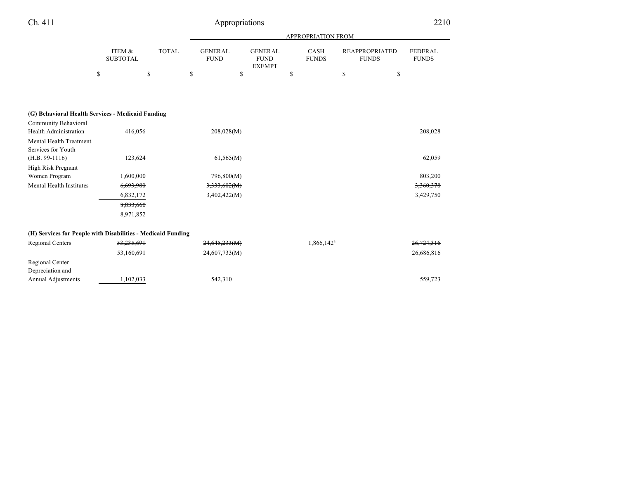| APPROPRIATION FROM        |              |                                                                                                                                          |    |                                                                       |                |                      |                                       |    |                                |
|---------------------------|--------------|------------------------------------------------------------------------------------------------------------------------------------------|----|-----------------------------------------------------------------------|----------------|----------------------|---------------------------------------|----|--------------------------------|
| ITEM &<br><b>SUBTOTAL</b> | <b>TOTAL</b> | <b>GENERAL</b><br><b>FUND</b>                                                                                                            |    | <b>FUND</b><br><b>EXEMPT</b>                                          |                | CASH<br><b>FUNDS</b> | <b>REAPPROPRIATED</b><br><b>FUNDS</b> |    | <b>FEDERAL</b><br><b>FUNDS</b> |
|                           | \$           | \$                                                                                                                                       | \$ |                                                                       | \$             |                      | \$                                    | \$ |                                |
|                           |              |                                                                                                                                          |    |                                                                       |                |                      |                                       |    |                                |
|                           |              |                                                                                                                                          |    |                                                                       |                |                      |                                       |    |                                |
|                           |              |                                                                                                                                          |    |                                                                       |                |                      |                                       |    |                                |
|                           |              |                                                                                                                                          |    |                                                                       |                |                      |                                       |    |                                |
|                           |              |                                                                                                                                          |    |                                                                       |                |                      |                                       |    | 208,028                        |
|                           |              |                                                                                                                                          |    |                                                                       |                |                      |                                       |    |                                |
|                           |              |                                                                                                                                          |    |                                                                       |                |                      |                                       |    |                                |
|                           |              |                                                                                                                                          |    |                                                                       |                |                      |                                       |    | 62,059                         |
|                           |              |                                                                                                                                          |    |                                                                       |                |                      |                                       |    |                                |
|                           |              |                                                                                                                                          |    |                                                                       |                |                      |                                       |    | 803,200                        |
|                           |              |                                                                                                                                          |    |                                                                       |                |                      |                                       |    |                                |
|                           |              |                                                                                                                                          |    |                                                                       |                |                      |                                       |    | 3,360,378                      |
|                           |              |                                                                                                                                          |    |                                                                       |                |                      |                                       |    | 3,429,750                      |
|                           |              |                                                                                                                                          |    |                                                                       |                |                      |                                       |    |                                |
|                           |              |                                                                                                                                          |    |                                                                       |                |                      |                                       |    |                                |
|                           |              |                                                                                                                                          |    |                                                                       |                |                      |                                       |    |                                |
|                           |              | (G) Behavioral Health Services - Medicaid Funding<br>416,056<br>123,624<br>1,600,000<br>6,693,980<br>6,832,172<br>8,833,660<br>8,971,852 |    | 208,028(M)<br>61,565(M)<br>796,800(M)<br>3,333,602(M)<br>3,402,422(M) | <b>GENERAL</b> |                      |                                       |    |                                |

#### **(H) Services for People with Disabilities - Medicaid Funding**

| Regional Centers          | <del>53,235,691</del> | 24,645,233(M) | 1,866,142 <sup>a</sup> | 26,724,316 |
|---------------------------|-----------------------|---------------|------------------------|------------|
|                           | 53,160,691            | 24,607,733(M) |                        | 26,686,816 |
| Regional Center           |                       |               |                        |            |
| Depreciation and          |                       |               |                        |            |
| <b>Annual Adjustments</b> | 1,102,033             | 542.310       |                        | 559,723    |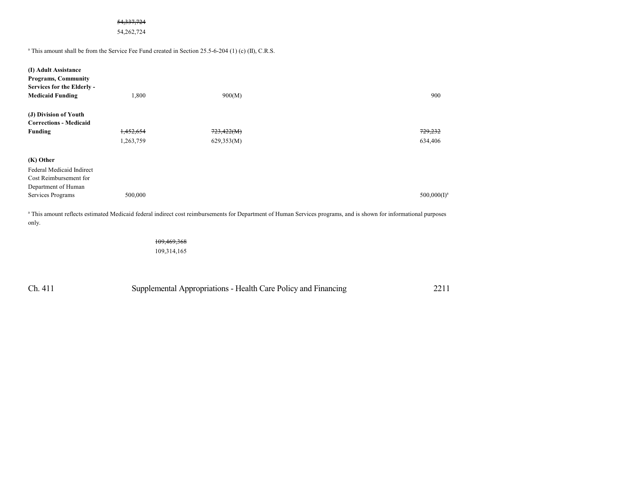#### 54,337,724

54,262,724

<sup>a</sup> This amount shall be from the Service Fee Fund created in Section 25.5-6-204 (1) (c) (II), C.R.S.

| (I) Adult Assistance<br><b>Programs, Community</b><br>Services for the Elderly -<br><b>Medicaid Funding</b> | 1,800     | 900(M)                                                                                                                                                                       | 900            |
|-------------------------------------------------------------------------------------------------------------|-----------|------------------------------------------------------------------------------------------------------------------------------------------------------------------------------|----------------|
| (J) Division of Youth                                                                                       |           |                                                                                                                                                                              |                |
| <b>Corrections - Medicaid</b>                                                                               |           |                                                                                                                                                                              |                |
| Funding                                                                                                     | 1,452,654 | 723,422(M)                                                                                                                                                                   | 729,232        |
|                                                                                                             | 1,263,759 | 629,353(M)                                                                                                                                                                   | 634,406        |
| (K) Other                                                                                                   |           |                                                                                                                                                                              |                |
| Federal Medicaid Indirect                                                                                   |           |                                                                                                                                                                              |                |
| Cost Reimbursement for                                                                                      |           |                                                                                                                                                                              |                |
| Department of Human                                                                                         |           |                                                                                                                                                                              |                |
| Services Programs                                                                                           | 500,000   |                                                                                                                                                                              | $500,000(I)^a$ |
|                                                                                                             |           | <sup>a</sup> This amount reflects estimated Medicaid federal indirect cost reimbursements for Department of Human Services programs, and is shown for informational purposes |                |

 This amount reflects estimated Medicaid federal indirect cost reimbursements for Department of Human Services programs, and is shown for informational purposes only.

> 109,469,368 109,314,165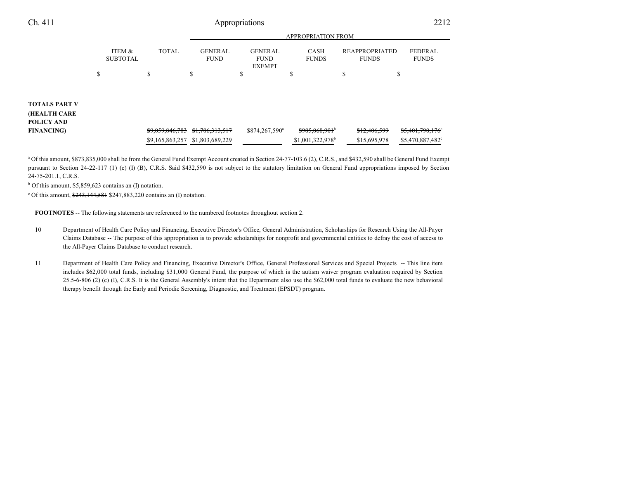|                                                           |                           |                 | <b>APPROPRIATION FROM</b>     |                                                |                               |                                       |                                |  |  |
|-----------------------------------------------------------|---------------------------|-----------------|-------------------------------|------------------------------------------------|-------------------------------|---------------------------------------|--------------------------------|--|--|
|                                                           | ITEM &<br><b>SUBTOTAL</b> | <b>TOTAL</b>    | <b>GENERAL</b><br><b>FUND</b> | <b>GENERAL</b><br><b>FUND</b><br><b>EXEMPT</b> | <b>CASH</b><br><b>FUNDS</b>   | <b>REAPPROPRIATED</b><br><b>FUNDS</b> | <b>FEDERAL</b><br><b>FUNDS</b> |  |  |
|                                                           | \$                        | \$              | \$                            | \$                                             | Φ                             | ¢<br>ъ                                | Φ                              |  |  |
| <b>TOTALS PART V</b><br><b>(HEALTH CARE</b><br>POLICY AND |                           |                 |                               |                                                |                               |                                       |                                |  |  |
| <b>FINANCING</b> )                                        |                           | \$9,059,846,783 | \$1,786,313,517               | \$874,267,590 <sup>a</sup>                     | $$985,068,901$ <sup>b</sup>   | \$12,406,599                          | \$5,401,790,176°               |  |  |
|                                                           |                           | \$9,165,863,257 | \$1,803,689,229               |                                                | $$1,001,322,978$ <sup>b</sup> | \$15,695,978                          | \$5,470,887,482°               |  |  |

<sup>a</sup> Of this amount, \$873,835,000 shall be from the General Fund Exempt Account created in Section 24-77-103.6 (2), C.R.S., and \$432,590 shall be General Fund Exempt pursuant to Section 24-22-117 (1) (c) (I) (B), C.R.S. Said \$432,590 is not subject to the statutory limitation on General Fund appropriations imposed by Section 24-75-201.1, C.R.S.

b Of this amount, \$5,859,623 contains an (I) notation.

<sup>c</sup> Of this amount, \$243,144,581 \$247,883,220 contains an (I) notation.

**FOOTNOTES** -- The following statements are referenced to the numbered footnotes throughout section 2.

- 10 Department of Health Care Policy and Financing, Executive Director's Office, General Administration, Scholarships for Research Using the All-Payer Claims Database -- The purpose of this appropriation is to provide scholarships for nonprofit and governmental entities to defray the cost of access to the All-Payer Claims Database to conduct research.
- 11 Department of Health Care Policy and Financing, Executive Director's Office, General Professional Services and Special Projects -- This line item includes \$62,000 total funds, including \$31,000 General Fund, the purpose of which is the autism waiver program evaluation required by Section 25.5-6-806 (2) (c) (I), C.R.S. It is the General Assembly's intent that the Department also use the \$62,000 total funds to evaluate the new behavioral therapy benefit through the Early and Periodic Screening, Diagnostic, and Treatment (EPSDT) program.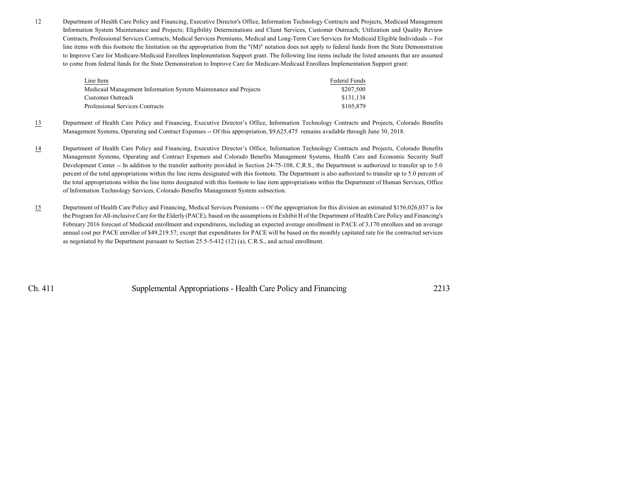12 Department of Health Care Policy and Financing, Executive Director's Office, Information Technology Contracts and Projects, Medicaid Management Information System Maintenance and Projects; Eligibility Determinations and Client Services, Customer Outreach; Utilization and Quality Review Contracts, Professional Services Contracts; Medical Services Premiums, Medical and Long-Term Care Services for Medicaid Eligible Individuals -- For line items with this footnote the limitation on the appropriation from the "(M)" notation does not apply to federal funds from the State Demonstration to Improve Care for Medicare-Medicaid Enrollees Implementation Support grant. The following line items include the listed amounts that are assumed to come from federal funds for the State Demonstration to Improve Care for Medicare-Medicaid Enrollees Implementation Support grant:

| Line Item                                                       | Federal Funds |
|-----------------------------------------------------------------|---------------|
| Medicaid Management Information System Maintenance and Projects | \$207.500     |
| Customer Outreach                                               | \$131.138     |
| Professional Services Contracts                                 | \$105.879     |

- 13 Department of Health Care Policy and Financing, Executive Director's Office, Information Technology Contracts and Projects, Colorado Benefits Management Systems, Operating and Contract Expenses -- Of this appropriation, \$9,625,475 remains available through June 30, 2018.
- 14 Department of Health Care Policy and Financing, Executive Director's Office, Information Technology Contracts and Projects, Colorado Benefits Management Systems, Operating and Contract Expenses and Colorado Benefits Management Systems, Health Care and Economic Security Staff Development Center -- In addition to the transfer authority provided in Section 24-75-108, C.R.S., the Department is authorized to transfer up to 5.0 percent of the total appropriations within the line items designated with this footnote. The Department is also authorized to transfer up to 5.0 percent of the total appropriations within the line items designated with this footnote to line item appropriations within the Department of Human Services, Office of Information Technology Services, Colorado Benefits Management System subsection.
- 15 Department of Health Care Policy and Financing, Medical Services Premiums -- Of the appropriation for this division an estimated \$156,026,037 is for the Program for All-inclusive Care for the Elderly (PACE), based on the assumptions in Exhibit H of the Department of Health Care Policy and Financing's February 2016 forecast of Medicaid enrollment and expenditures, including an expected average enrollment in PACE of 3,170 enrollees and an average annual cost per PACE enrollee of \$49,219.57; except that expenditures for PACE will be based on the monthly capitated rate for the contracted services as negotiated by the Department pursuant to Section 25.5-5-412 (12) (a), C.R.S., and actual enrollment.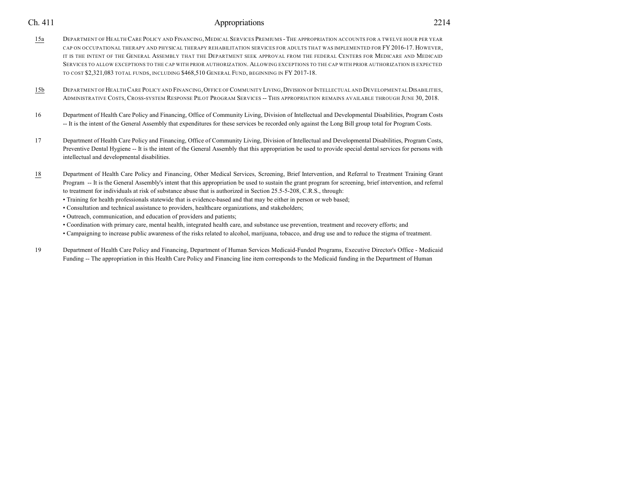- 15a DEPARTMENT OF HEALTH CARE POLICY AND FINANCING, MEDICAL SERVICES PREMIUMS THE APPROPRIATION ACCOUNTS FOR A TWELVE HOUR PER YEAR CAP ON OCCUPATIONAL THERAPY AND PHYSICAL THERAPY REHABILITATION SERVICES FOR ADULTS THAT WAS IMPLEMENTED FOR FY 2016-17. HOWEVER, IT IS THE INTENT OF THE GENERAL ASSEMBLY THAT THE DEPARTMENT SEEK APPROVAL FROM THE FEDERAL CENTERS FOR MEDICARE AND MEDICAID SERVICES TO ALLOW EXCEPTIONS TO THE CAP WITH PRIOR AUTHORIZATION. ALLOWING EXCEPTIONS TO THE CAP WITH PRIOR AUTHORIZATION IS EXPECTED TO COST \$2,321,083 TOTAL FUNDS, INCLUDING \$468,510 GENERAL FUND, BEGINNING IN FY 2017-18.
- 15b DEPARTMENT OF HEALTH CARE POLICY AND FINANCING, OFFICE OF COMMUNITY LIVING, DIVISION OF INTELLECTUAL AND DEVELOPMENTAL DISABILITIES, ADMINISTRATIVE COSTS, CROSS-SYSTEM RESPONSE PILOT PROGRAM SERVICES -- THIS APPROPRIATION REMAINS AVAILABLE THROUGH JUNE 30, 2018.
- 16 Department of Health Care Policy and Financing, Office of Community Living, Division of Intellectual and Developmental Disabilities, Program Costs -- It is the intent of the General Assembly that expenditures for these services be recorded only against the Long Bill group total for Program Costs.
- 17 Department of Health Care Policy and Financing, Office of Community Living, Division of Intellectual and Developmental Disabilities, Program Costs, Preventive Dental Hygiene -- It is the intent of the General Assembly that this appropriation be used to provide special dental services for persons with intellectual and developmental disabilities.
- 18 Department of Health Care Policy and Financing, Other Medical Services, Screening, Brief Intervention, and Referral to Treatment Training Grant Program -- It is the General Assembly's intent that this appropriation be used to sustain the grant program for screening, brief intervention, and referral to treatment for individuals at risk of substance abuse that is authorized in Section 25.5-5-208, C.R.S., through:
	- Training for health professionals statewide that is evidence-based and that may be either in person or web based;
	- Consultation and technical assistance to providers, healthcare organizations, and stakeholders;
	- Outreach, communication, and education of providers and patients;
	- Coordination with primary care, mental health, integrated health care, and substance use prevention, treatment and recovery efforts; and
	- Campaigning to increase public awareness of the risks related to alcohol, marijuana, tobacco, and drug use and to reduce the stigma of treatment.
- 19 Department of Health Care Policy and Financing, Department of Human Services Medicaid-Funded Programs, Executive Director's Office Medicaid Funding -- The appropriation in this Health Care Policy and Financing line item corresponds to the Medicaid funding in the Department of Human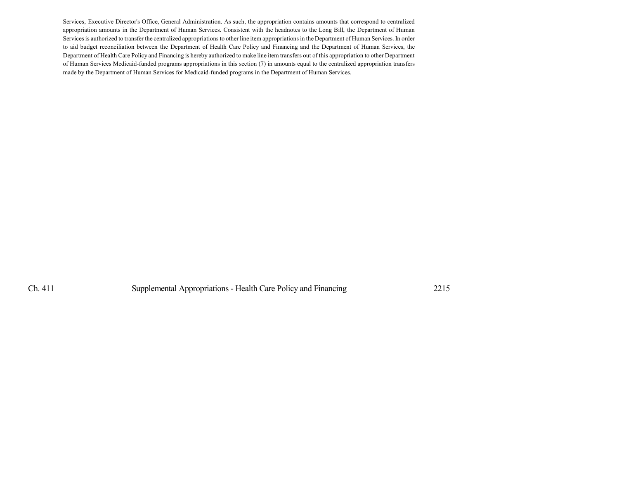Services, Executive Director's Office, General Administration. As such, the appropriation contains amounts that correspond to centralized appropriation amounts in the Department of Human Services. Consistent with the headnotes to the Long Bill, the Department of Human Services is authorized to transfer the centralized appropriations to other line item appropriations in the Department of Human Services. In order to aid budget reconciliation between the Department of Health Care Policy and Financing and the Department of Human Services, the Department of Health Care Policy and Financing is hereby authorized to make line item transfers out of this appropriation to other Department of Human Services Medicaid-funded programs appropriations in this section (7) in amounts equal to the centralized appropriation transfers made by the Department of Human Services for Medicaid-funded programs in the Department of Human Services.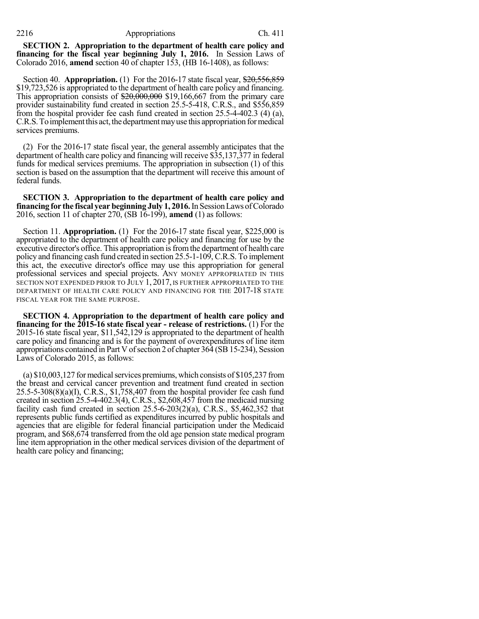#### 2216 Appropriations Ch. 411

**SECTION 2. Appropriation to the department of health care policy and financing for the fiscal year beginning July 1, 2016.** In Session Laws of Colorado 2016, **amend** section 40 of chapter 153, (HB 16-1408), as follows:

Section 40. **Appropriation.** (1) For the 2016-17 state fiscal year, \$20,556,859 \$19,723,526 is appropriated to the department of health care policy and financing. This appropriation consists of  $\text{\$}20,000,000$  \$19,166,667 from the primary care provider sustainability fund created in section 25.5-5-418, C.R.S., and \$556,859 from the hospital provider fee cash fund created in section 25.5-4-402.3 (4) (a), C.R.S. To implement this act, the department may use this appropriation for medical services premiums.

(2) For the 2016-17 state fiscal year, the general assembly anticipates that the department of health care policy and financing will receive \$35,137,377 in federal funds for medical services premiums. The appropriation in subsection (1) of this section is based on the assumption that the department will receive this amount of federal funds.

**SECTION 3. Appropriation to the department of health care policy and financing** for the fiscal year beginning July 1, 2016. In Session Laws of Colorado 2016, section 11 of chapter 270, (SB 16-199), **amend** (1) as follows:

Section 11. **Appropriation.** (1) For the 2016-17 state fiscal year, \$225,000 is appropriated to the department of health care policy and financing for use by the executive director's office. This appropriation is from the department of health care policy and financing cash fund created in section 25.5-1-109, C.R.S. To implement this act, the executive director's office may use this appropriation for general professional services and special projects. ANY MONEY APPROPRIATED IN THIS SECTION NOT EXPENDED PRIOR TO JULY 1, 2017, IS FURTHER APPROPRIATED TO THE DEPARTMENT OF HEALTH CARE POLICY AND FINANCING FOR THE 2017-18 STATE FISCAL YEAR FOR THE SAME PURPOSE.

**SECTION 4. Appropriation to the department of health care policy and financing for the 2015-16 state fiscal year - release of restrictions.** (1) For the 2015-16 state fiscal year, \$11,542,129 is appropriated to the department of health care policy and financing and is for the payment of overexpenditures of line item appropriations contained in Part V of section 2 of chapter 364 (SB 15-234), Session Laws of Colorado 2015, as follows:

(a)  $$10,003,127$  for medical services premiums, which consists of  $$105,237$  from the breast and cervical cancer prevention and treatment fund created in section 25.5-5-308(8)(a)(I), C.R.S., \$1,758,407 from the hospital provider fee cash fund created in section 25.5-4-402.3(4), C.R.S., \$2,608,457 from the medicaid nursing facility cash fund created in section 25.5-6-203(2)(a), C.R.S., \$5,462,352 that represents public funds certified as expenditures incurred by public hospitals and agencies that are eligible for federal financial participation under the Medicaid program, and \$68,674 transferred from the old age pension state medical program line item appropriation in the other medical services division of the department of health care policy and financing;